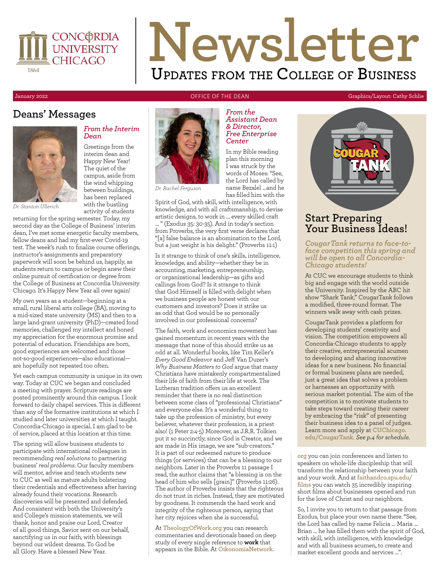

# **Newsletter Updates from the College of Business**

### **Deans' Messages**



#### *From the Interim Dean*

Greetings from the interim dean and Happy New Year! The quiet of the campus, aside from the wind whipping between buildings, has been replaced with the bustling activity of students

*Dr. Stanton Ullerich*

returning for the spring semester. Today, my second day as the College of Business' interim dean, I've met some energetic faculty members, fellow deans and had my first-ever Covid-19 test. The week's rush to finalize course offerings, instructor's assignments and preparatory paperwork will soon be behind us, happily, as students return to campus or begin anew their online pursuit of certification or degree from the College of Business at Concordia University Chicago. It's Happy New Year all over again!

My own years as a student—beginning at a small, rural liberal arts college (BA), moving to a mid-sized state university (MS) and then to a large land-grant university (PhD)—created fond memories, challenged my intellect and honed my appreciation for the enormous promise and potential of education. Friendships are born, good experiences are welcomed and those not-so-good experiences—also educational are hopefully not repeated too often.

Yet each campus community is unique in its own way. Today at CUC we began and concluded a meeting with prayer. Scripture readings are posted prominently around this campus. I look forward to daily chapel services. This is different than any of the formative institutions at which I studied and later universities at which I taught. Concordia-Chicago is special. I am glad to be of service, placed at this location at this time.

The spring will allow business students to participate with international colleagues in recommending *real solutions* to partnering business' *real problems*. Our faculty members will mentor, advise and teach students new to CUC as well as mature adults bolstering their credentials and effectiveness after having already found their vocations. Research discoveries will be presented and defended. And consistent with both the University's and College's mission statements, we will thank, honor and praise our Lord, Creator of all good things, Savior sent on our behalf, sanctifying us in our faith, with blessings beyond our wildest dreams. To God be all Glory. Have a blessed New Year.

*Dr. Rachel Ferguson*

has filled him with the Spirit of God, with skill, with intelligence, with knowledge, and with all craftsmanship, to devise artistic designs, to work in … every skilled craft

… " (Exodus 35: 30-35). And in today's section from Proverbs, the very first verse declares that "[a] false balance is an abomination to the Lord, but a just weight is his delight." (Proverbs 11:1)

Is it strange to think of one's skills, intelligence, knowledge, and ability—whether they be in accounting, marketing, entrepreneurship, or organizational leadership—as gifts and callings from God? Is it strange to think that God Himself is filled with delight when we business people are honest with our customers and investors? Does it strike us as odd that God would be so personally involved in our professional concerns?

The faith, work and economics movement has gained momentum in recent years with the message that none of this should strike us as odd at all. Wonderful books, like Tim Keller's *Every Good Endeavor* and Jeff Van Duzer's *Why Business Matters to God* argue that many Christians have mistakenly compartmentalized their life of faith from their life at work. The Lutheran tradition offers us an excellent reminder that there is no real distinction between some class of "professional Christians" and everyone else. It's a wonderful thing to take up the profession of ministry, but every believer, whatever their profession, is a priest also! (1 Peter 2:4-5) Moreover, as J.R.R. Tolkien put it so succinctly, since God is Creator, and we are made in His image, we are "sub-creators." It is part of our redeemed nature to produce things (or services) that can be a blessing to our neighbors. Later in the Proverbs 11 passage I read, the author claims that "a blessing is on the head of him who sells [grain]" (Proverbs 11:26). The author of Proverbs insists that the righteous do not trust in riches. Instead, they are motivated by goodness. It commends the hard work and integrity of the righteous person, saying that her city rejoices when she is successful.

At **[TheologyOfWork.org](http://www.TheologyOfWork.org)** you can research commentaries and devotionals based on deep study of every single reference to **work** that appears in the Bible. At **[OikonomiaNetwork.](http://www.OikonomiaNetwork.org)**

#### January 2022 **OFFICE OF THE DEAN** Graphics/Layout: Cathy Schlie



### **Start Preparing Your Business Ideas!**

*CougarTank returns to face-toface competition this spring and will be open to all Concordia-Chicago students!* 

At CUC we encourage students to think big and engage with the world outside the University. Inspired by the ABC hit show "Shark Tank," CougarTank follows a modified, three-round format. The winners walk away with cash prizes.

CougarTank provides a platform for developing students' creativity and vision. The competition empowers all Concordia-Chicago students to apply their creative, entrepreneurial acumen to developing and sharing innovative ideas for a new business. No financial or formal business plans are needed, just a great idea that solves a problem or harnesses an opportunity with serious market potential. The aim of the competition is to motivate students to take steps toward creating their career by embracing the "risk" of presenting their business idea to a panel of judges. Learn more and apply at **[CUChicago.](http://www.CUChicago.edu/CougarTank) [edu/CougarTank.](http://www.CUChicago.edu/CougarTank)** *See p.4 for schedule.*

**[org](http://www.OikonomiaNetwork.org)** you can join conferences and listen to speakers on whole-life discipleship that will transform the relationship between your faith and your work. And at **[faithandco.spu.edu/](http://www.faithandco.spu.edu/films) [films](http://www.faithandco.spu.edu/films)** you can watch 35 incredibly inspiring short films about businesses opened and run for the love of Christ and our neighbors.

So, I invite you to return to that passage from Exodus, but place your own name there. "See, the Lord has called by name Felicia … Maria … Brian … he has filled them with the spirit of God, with skill, with intelligence, with knowledge and with all business acumen, to create and market excellent goods and services …".

#### In my Bible reading plan this morning I was struck by the words of Moses: "See,

the Lord has called by name Bezalel …and he

*Center*

*From the Assistant Dean & Director, Free Enterprise*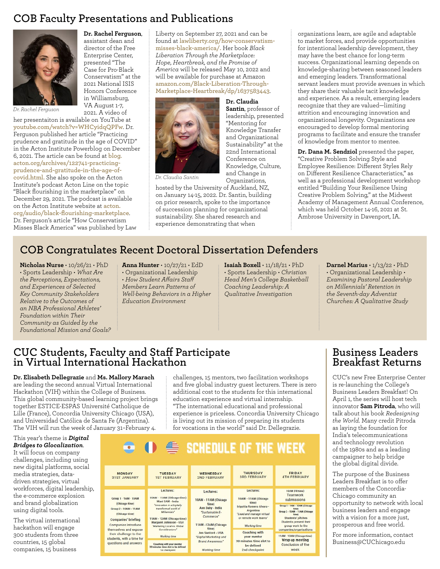### **COB Faculty Presentations and Publications**



**Dr. Rachel Ferguson**, assistant dean and director of the Free Enterprise Center, presented "The Case for Pro-Black Conservatism" at the 2021 National ISIS Honors Conference in Williamsburg, VA August 1-7, 2021. A video of

*Dr. Rachel Ferguson*

her presentaiton is available on YouTube at **[youtube.com/watch?v=WHCyidqQPFw](https://www.youtube.com/watch?v=WHCyidqQPFw)**. Dr. Ferguson published her article "Practicing prudence and gratitude in the age of COVID" in the Acton Institute Powerblog on December 6, 2021. The article can be found at **[blog.](https://blog.acton.org/archives/122741-practicing-prudence-and-gratitude-in-the-age-of-covid.html) [acton.org/archives/122741-practicing](https://blog.acton.org/archives/122741-practicing-prudence-and-gratitude-in-the-age-of-covid.html)[prudence-and-gratitude-in-the-age-of](https://blog.acton.org/archives/122741-practicing-prudence-and-gratitude-in-the-age-of-covid.html)[covid.html](https://blog.acton.org/archives/122741-practicing-prudence-and-gratitude-in-the-age-of-covid.html).** She also spoke on the Acton Institute's podcast Acton Line on the topic "Black flourishing in the marketplace" on December 29, 2021. The podcast is available on the Acton Institute website at **[acton.](https://www.acton.org/audio/black-flourishing-marketplace) [org/audio/black-flourishing-marketplace](https://www.acton.org/audio/black-flourishing-marketplace)**. Dr. Ferguson's article "How Conservatism Misses Black America" was published by Law

Liberty on September 27, 2021 and can be found at **[lawliberty.org/how-conservatism](https://lawliberty.org/how-conservatism-misses-black-america/)[misses-black-america/.](https://lawliberty.org/how-conservatism-misses-black-america/)** Her book *Black Liberation Through the Marketplace: Hope, Heartbreak, and the Promise of America* will be released May 10, 2022 and will be available for purchase at Amazon **[amazon.com/Black-Liberation-Through-](https://www.amazon.com/Black-Liberation-Through-Marketplace-Heartbreak/dp/1637583443)[Marketplace-Heartbreak/dp/1637583443](https://www.amazon.com/Black-Liberation-Through-Marketplace-Heartbreak/dp/1637583443)**.

> **Dr. Claudia Santin**, professor of leadership, presented "Mentoring for Knowledge Transfer and Organizational Sustainability" at the 22nd International Conference on Knowledge, Culture, and Change in



*Dr. Claudia Santin*

Organizations, hosted by the University of Auckland, NZ, on January 14-15, 2022. Dr. Santin, building on prior research, spoke to the importance of succession planning for organizational sustainability. She shared research and experience demonstrating that when

organizations learn, are agile and adaptable to market forces, and provide opportunities for intentional leadership development, they may have the best chance for long-term success. Organizational learning depends on knowledge-sharing between seasoned leaders and emerging leaders. Transformational servant leaders must provide avenues in which they share their valuable tacit knowledge and experience. As a result, emerging leaders recognize that they are valued—limiting attrition and encouraging innovation and organizational longevity. Organizations are encouraged to develop formal mentoring programs to facilitate and ensure the transfer of knowledge from mentor to mentee.

**Dr. Dana M. Sendziol** presented the paper, "Creative Problem Solving Style and Employee Resilience: Different Styles Rely on Different Resilience Characteristics," as well as a professional development workshop entitled "Building Your Resilience Using Creative Problem Solving," at the Midwest Academy of Management Annual Conference, which was held October 14-16, 2021 at St. Ambrose University in Davenport, IA.

### **COB Congratulates Recent Doctoral Dissertation Defenders**

**Nicholas Nurse** • 10/26/21 • PhD • Sports Leadership • *What Are the Perceptions, Expectations, and Experiences of Selected Key Community Stakeholders Relative to the Outcomes of an NBA Professional Athletes' Foundation within Their Community as Guided by the Foundational Mission and Goals?*

#### **Anna Hunter** • 10/27/21 • EdD • Organizational Leadership

- *How Student Affairs Staff*
- *Members Learn Patterns of*
- *Well-being Behaviors in a Higher Education Environment*

**Isaiah Boxell** • 11/18/21 • PhD • Sports Leadership • *Christian Head Men's College Basketball Coaching Leadership: A Qualitative Investigation*

**Darnel Marius** • 1/13/22 • PhD • Organizational Leadership • *Examining Pastoral Leadership on Millennials' Retention in the Seventh-day Adventist Churches: A Qualitative Study*

### **CUC Students, Faculty and Staff Participate in Virtual International Hackathon**

**Dr. Elisabeth Dellegrazie** and **Ms. Mallory Marach** are leading the second annual Virtual International Hackathon (VIH) within the College of Business. This global community-based learning project brings together ESTICE-ESPAS Université Catholique de Lille (France), Concordia University Chicago (USA), and Universidad Católica de Santa Fe (Argentina). The VIH will run the week of January 31–February 4.

#### This year's theme is *Digital Bridges to Glocalization*. It will focus on company

challenges, including using new digital platforms, social media strategies, datadriven strategies, virtual workforces, digital leadership, the e-commerce explosion and brand globalization using digital tools.

The virtual international hackathon will engage 300 students from three countries, 15 global companies, 15 business

challenges, 15 mentors, two facilitation workshops and five global industry guest lecturers. There is zero additional cost to the students for this international education experience and virtual internship. "The international educational and professional experience is priceless. Concordia University Chicago is living out its mission of preparing its students for vocations in the world" said Dr. Dellegrazie.

### **Business Leaders Breakfast Returns**

CUC's new Free Enterprise Center is re-launching the College's Business Leaders Breakfast! On April 1, the series will host tech innovator **Sam Pitroda**, who will talk about his book *Redesigning the World.* Many credit Pitroda as laying the foundation for India's telecommunications and technology revolution of the 1980s and as a leading campaigner to help bridge the global digital divide.

The purpose of the Business Leaders Breakfast is to offer members of the Concordia-Chicago community an opportunity to network with local business leaders and engage with a vision for a more just, prosperous and free world.

For more information, contact Business@CUChicago.edu

### SCHEDULE OF THE WEEK

| <b>MONDAY</b><br><b>31ST JANUARY</b>                                                                                                                                                                                                            | <b>TUESDAY</b><br><b>1ST FEBRUARY</b>                                                                                                                                                     | <b>WEDNESDAY</b><br><b>2ND FEBRUARY</b>                                                                                                                                                                                       | <b>THURSDAY</b><br><b>3RD FEBRUARY</b>                                                                                                                     | <b>FRIDAY</b><br><b>4TH FEBRUARY</b>                                                                                                                                                     |
|-------------------------------------------------------------------------------------------------------------------------------------------------------------------------------------------------------------------------------------------------|-------------------------------------------------------------------------------------------------------------------------------------------------------------------------------------------|-------------------------------------------------------------------------------------------------------------------------------------------------------------------------------------------------------------------------------|------------------------------------------------------------------------------------------------------------------------------------------------------------|------------------------------------------------------------------------------------------------------------------------------------------------------------------------------------------|
| Group 1 - 9AM - 10AM<br>(Chicago time)<br>Group 2 - 10AM - 11AM<br>(Chicago time)<br><b>Companies' briefing</b><br>Companies introduce<br>themselves and expose<br>their challenge to the<br>students, with a time for<br>questions and answers | Lectures:<br>10AM - 11AM (Chicago time)<br>Mani SAM - India                                                                                                                               | Lectures:<br>10AM - 11AM (Chicago<br>time)<br>Ann Baby - India<br>"Sustainable E-<br>Commerce <sup>*</sup><br>11AM -12AM (Chicago<br>time)<br>Jen Sanford - USA<br>"Digital Marketing and<br>Brand Awareness*<br>Working time | Lectures:<br>10AM - 11AM (Chicago)<br>time)<br>Irigoitia Romero Alvaro -<br>Argentina<br>"Lead and manage virtual<br>or remote work teams"<br>Working time | 10AM (FR time)<br>Teamwork<br>submissions                                                                                                                                                |
|                                                                                                                                                                                                                                                 | "Innovation in a Digitally<br>transformed world of<br>Millennials*<br>11AM - 12AM (Chicago time)<br>Margaret Johnsson - USA<br>"Marketing Local vs. Global<br>Considerations <sup>*</sup> |                                                                                                                                                                                                                               |                                                                                                                                                            | Group 1 - 9AM - 10AM (Chicago)<br>timel<br>Group 2 - 10AM - 11AM (Chicago<br>timel<br><b>Students' pitches</b><br>Students present their<br>group work to the<br>companies/organisations |
|                                                                                                                                                                                                                                                 |                                                                                                                                                                                           |                                                                                                                                                                                                                               | <b>Coaching with</b><br><b>your mentor</b><br>30 minutes time slot to<br>be defined<br>2nd checkpoint                                                      |                                                                                                                                                                                          |
|                                                                                                                                                                                                                                                 | Working time<br>Coaching with your mentor<br>30 minutes time slot to be defined<br>1st checkpoint                                                                                         |                                                                                                                                                                                                                               |                                                                                                                                                            | 11AM - 12AM (Chicago time)<br>Wrap up meeting<br>Conclusion of the<br>week                                                                                                               |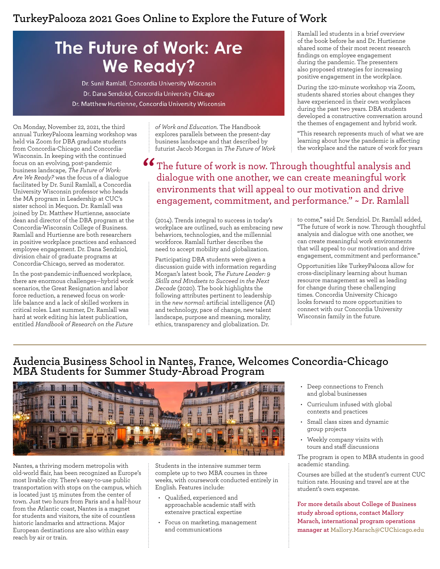### **TurkeyPalooza 2021 Goes Online to Explore the Future of Work**

## **The Future of Work: Are We Ready?**

Dr. Sunil Ramlall, Concordia University Wisconsin Dr. Dana Sendziol, Concordia University Chicago Dr. Matthew Hurtienne, Concordia University Wisconsin

On Monday, November 22, 2021, the third annual TurkeyPalooza learning workshop was held via Zoom for DBA graduate students from Concordia-Chicago and Concordia-Wisconsin. In keeping with the continued focus on an evolving, post-pandemic business landscape, *The Future of Work: Are We Ready?* was the focus of a dialogue facilitated by Dr. Sunil Ramlall, a Concordia University Wisconsin professor who heads the MA program in Leadership at CUC's sister school in Mequon. Dr. Ramlall was joined by Dr. Matthew Hurtienne, associate dean and director of the DBA program at the Concordia-Wisconsin College of Business. Ramlall and Hurtienne are both researchers in positive workplace practices and enhanced employee engagement. Dr. Dana Sendziol, division chair of graduate programs at Concordia-Chicago, served as moderator.

In the post-pandemic-influenced workplace, there are enormous challenges—hybrid work scenarios, the Great Resignation and labor force reduction, a renewed focus on worklife balance and a lack of skilled workers in critical roles. Last summer, Dr. Ramlall was hard at work editing his latest publication, entitled *Handbook of Research on the Future* 

*of Work and Education*. The Handbook explores parallels between the present-day business landscape and that described by futurist Jacob Morgan in *The Future of Work*

The future of work is now. Through thoughtful analysis and dialogue with one another, we can create meaningful work environments that will appeal to our motivation and drive engagement, commitment, and performance." ~ Dr. Ramlall **"**

(2014). Trends integral to success in today's workplace are outlined, such as embracing new behaviors, technologies, and the millennial workforce. Ramlall further describes the need to accept mobility and globalization.

Participating DBA students were given a discussion guide with information regarding Morgan's latest book, *The Future Leader: 9 Skills and Mindsets to Succeed in the Next Decade* (2020). The book highlights the following attributes pertinent to leadership in the *new normal*: artificial intelligence (AI) and technology, pace of change, new talent landscape, purpose and meaning, morality, ethics, transparency and globalization. Dr.

Ramlall led students in a brief overview of the book before he and Dr. Hurtienne shared some of their most recent research findings on employee engagement during the pandemic. The presenters also proposed strategies for increasing positive engagement in the workplace.

During the 120-minute workshop via Zoom, students shared stories about changes they have experienced in their own workplaces during the past two years. DBA students developed a constructive conversation around the themes of engagement and hybrid work.

"This research represents much of what we are learning about how the pandemic is affecting the workplace and the nature of work for years

to come," said Dr. Sendziol. Dr. Ramlall added, "The future of work is now. Through thoughtful analysis and dialogue with one another, we can create meaningful work environments that will appeal to our motivation and drive engagement, commitment and performance."

Opportunities like TurkeyPalooza allow for cross-disciplinary learning about human resource management as well as leading for change during these challenging times. Concordia University Chicago looks forward to more opportunities to connect with our Concordia University Wisconsin family in the future.

### **Audencia Business School in Nantes, France, Welcomes Concordia-Chicago MBA Students for Summer Study-Abroad Program**



Nantes, a thriving modern metropolis with old-world flair, has been recognized as Europe's most livable city. There's easy-to-use public transportation with stops on the campus, which is located just 15 minutes from the center of town. Just two hours from Paris and a half-hour from the Atlantic coast, Nantes is a magnet for students and visitors, the site of countless historic landmarks and attractions. Major European destinations are also within easy reach by air or train.

Students in the intensive summer term complete up to two MBA courses in three weeks, with coursework conducted entirely in English. Features include:

- Qualified, experienced and approachable academic staff with extensive practical expertise
- Focus on marketing, management and communications
- Deep connections to French and global businesses
- Curriculum infused with global contexts and practices
- Small class sizes and dynamic group projects
- Weekly company visits with tours and staff discussions

The program is open to MBA students in good academic standing.

Courses are billed at the student's current CUC tuition rate. Housing and travel are at the student's own expense.

**For more details about College of Business study abroad options, contact Mallory Marach, international program operations manager at [Mallory.Marach@CUChicago.edu](mailto:Mallory.Marach%40CUChicago.edu?subject=)**